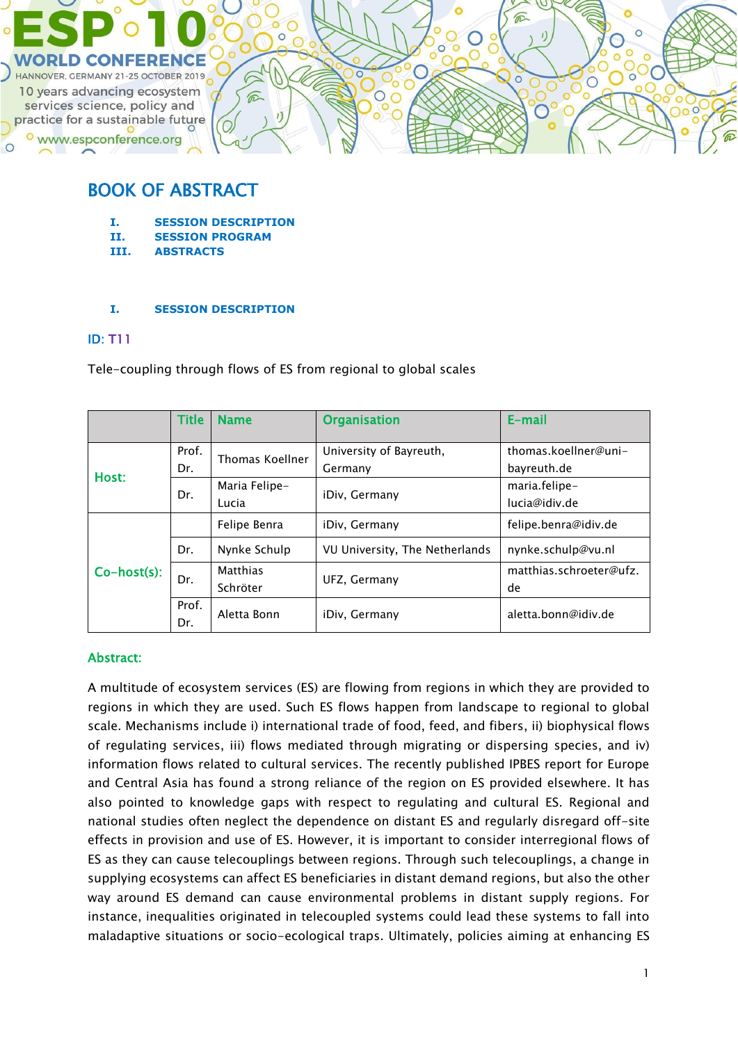

# BOOK OF ABSTRACT

- **I. SESSION DESCRIPTION**
- **II. SESSION PROGRAM**
- **III. ABSTRACTS**

### **I. SESSION DESCRIPTION**

### ID: T11

Tele-coupling through flows of ES from regional to global scales

|                | <b>Title</b> | <b>Name</b>                 | <b>Organisation</b>                | E-mail                              |
|----------------|--------------|-----------------------------|------------------------------------|-------------------------------------|
| Host:          | Prof.<br>Dr. | Thomas Koellner             | University of Bayreuth,<br>Germany | thomas.koellner@uni-<br>bayreuth.de |
|                | Dr.          | Maria Felipe-<br>Lucia      | iDiv, Germany                      | maria.felipe-<br>lucia@idiv.de      |
| $Co-host(s)$ : |              | Felipe Benra                | iDiv, Germany                      | felipe.benra@idiv.de                |
|                | Dr.          | Nynke Schulp                | VU University, The Netherlands     | nynke.schulp@vu.nl                  |
|                | Dr.          | <b>Matthias</b><br>Schröter | UFZ, Germany                       | matthias.schroeter@ufz.<br>de       |
|                | Prof.<br>Dr. | Aletta Bonn                 | iDiv, Germany                      | aletta.bonn@idiv.de                 |

### Abstract:

A multitude of ecosystem services (ES) are flowing from regions in which they are provided to regions in which they are used. Such ES flows happen from landscape to regional to global scale. Mechanisms include i) international trade of food, feed, and fibers, ii) biophysical flows of regulating services, iii) flows mediated through migrating or dispersing species, and iv) information flows related to cultural services. The recently published IPBES report for Europe and Central Asia has found a strong reliance of the region on ES provided elsewhere. It has also pointed to knowledge gaps with respect to regulating and cultural ES. Regional and national studies often neglect the dependence on distant ES and regularly disregard off-site effects in provision and use of ES. However, it is important to consider interregional flows of ES as they can cause telecouplings between regions. Through such telecouplings, a change in supplying ecosystems can affect ES beneficiaries in distant demand regions, but also the other way around ES demand can cause environmental problems in distant supply regions. For instance, inequalities originated in telecoupled systems could lead these systems to fall into maladaptive situations or socio-ecological traps. Ultimately, policies aiming at enhancing ES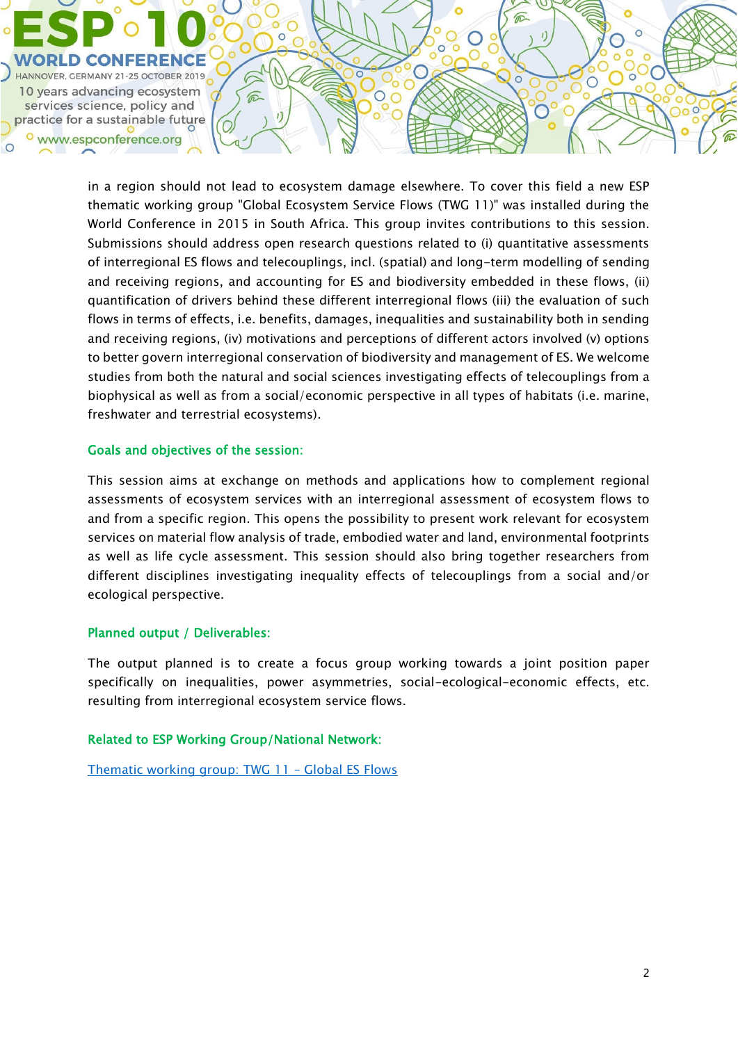

in a region should not lead to ecosystem damage elsewhere. To cover this field a new ESP thematic working group "Global Ecosystem Service Flows (TWG 11)" was installed during the World Conference in 2015 in South Africa. This group invites contributions to this session. Submissions should address open research questions related to (i) quantitative assessments of interregional ES flows and telecouplings, incl. (spatial) and long-term modelling of sending and receiving regions, and accounting for ES and biodiversity embedded in these flows, (ii) quantification of drivers behind these different interregional flows (iii) the evaluation of such flows in terms of effects, i.e. benefits, damages, inequalities and sustainability both in sending and receiving regions, (iv) motivations and perceptions of different actors involved (v) options to better govern interregional conservation of biodiversity and management of ES. We welcome studies from both the natural and social sciences investigating effects of telecouplings from a biophysical as well as from a social/economic perspective in all types of habitats (i.e. marine, freshwater and terrestrial ecosystems).

### Goals and objectives of the session:

This session aims at exchange on methods and applications how to complement regional assessments of ecosystem services with an interregional assessment of ecosystem flows to and from a specific region. This opens the possibility to present work relevant for ecosystem services on material flow analysis of trade, embodied water and land, environmental footprints as well as life cycle assessment. This session should also bring together researchers from different disciplines investigating inequality effects of telecouplings from a social and/or ecological perspective.

### Planned output / Deliverables:

The output planned is to create a focus group working towards a joint position paper specifically on inequalities, power asymmetries, social-ecological-economic effects, etc. resulting from interregional ecosystem service flows.

### Related to ESP Working Group/National Network:

[Thematic working group: TWG 11](https://www.es-partnership.org/community/workings-groups/thematic-working-groups/twg-11-global-es-flows/) – Global ES Flows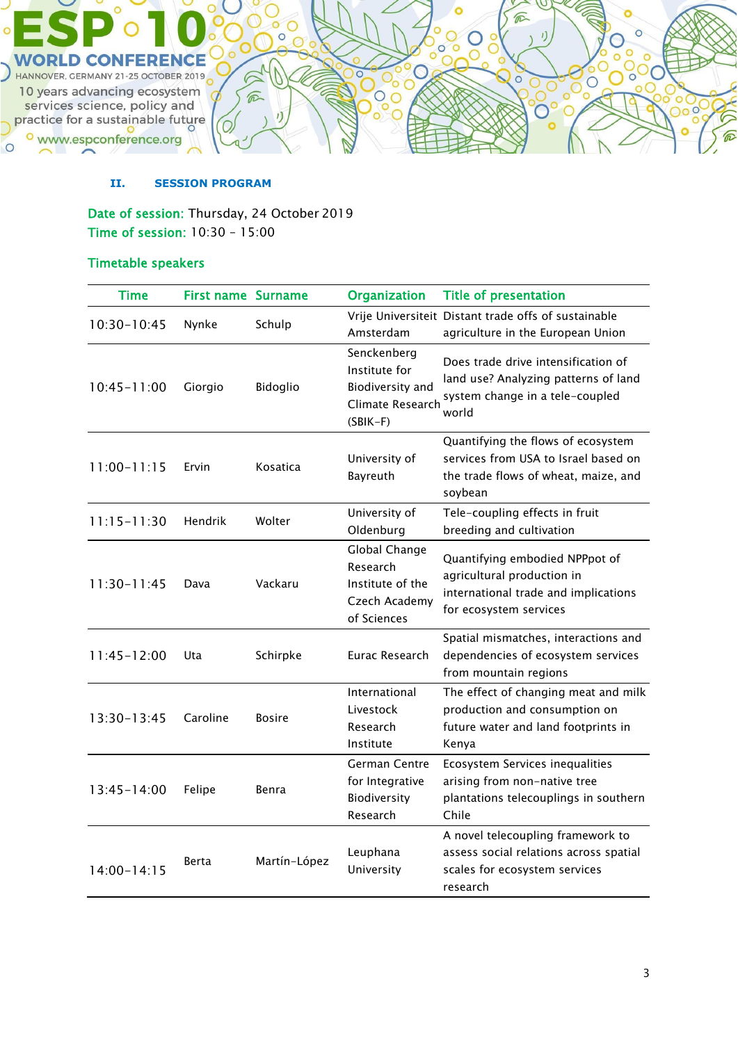

### **II. SESSION PROGRAM**

Date of session: Thursday, 24 October 2019 Time of session: 10:30 – 15:00

### Timetable speakers

| <b>Time</b>     | <b>First name Surname</b> |               | <b>Organization</b>                                                                | <b>Title of presentation</b>                                                                                                   |
|-----------------|---------------------------|---------------|------------------------------------------------------------------------------------|--------------------------------------------------------------------------------------------------------------------------------|
| $10:30 - 10:45$ | Nynke                     | Schulp        | Amsterdam                                                                          | Vrije Universiteit Distant trade offs of sustainable<br>agriculture in the European Union                                      |
| $10:45 - 11:00$ | Giorgio                   | Bidoglio      | Senckenberg<br>Institute for<br>Biodiversity and<br>Climate Research<br>$(SBIK-F)$ | Does trade drive intensification of<br>land use? Analyzing patterns of land<br>system change in a tele-coupled<br>world        |
| $11:00 - 11:15$ | Ervin                     | Kosatica      | University of<br>Bayreuth                                                          | Quantifying the flows of ecosystem<br>services from USA to Israel based on<br>the trade flows of wheat, maize, and<br>soybean  |
| $11:15 - 11:30$ | Hendrik                   | Wolter        | University of<br>Oldenburg                                                         | Tele-coupling effects in fruit<br>breeding and cultivation                                                                     |
| $11:30 - 11:45$ | Dava                      | Vackaru       | Global Change<br>Research<br>Institute of the<br>Czech Academy<br>of Sciences      | Quantifying embodied NPPpot of<br>agricultural production in<br>international trade and implications<br>for ecosystem services |
| 11:45-12:00     | Uta                       | Schirpke      | Eurac Research                                                                     | Spatial mismatches, interactions and<br>dependencies of ecosystem services<br>from mountain regions                            |
| 13:30-13:45     | Caroline                  | <b>Bosire</b> | International<br>Livestock<br>Research<br>Institute                                | The effect of changing meat and milk<br>production and consumption on<br>future water and land footprints in<br>Kenya          |
| $13:45 - 14:00$ | Felipe                    | Benra         | German Centre<br>for Integrative<br>Biodiversity<br>Research                       | Ecosystem Services inequalities<br>arising from non-native tree<br>plantations telecouplings in southern<br>Chile              |
| $14:00 - 14:15$ | Berta                     | Martín-López  | Leuphana<br>University                                                             | A novel telecoupling framework to<br>assess social relations across spatial<br>scales for ecosystem services<br>research       |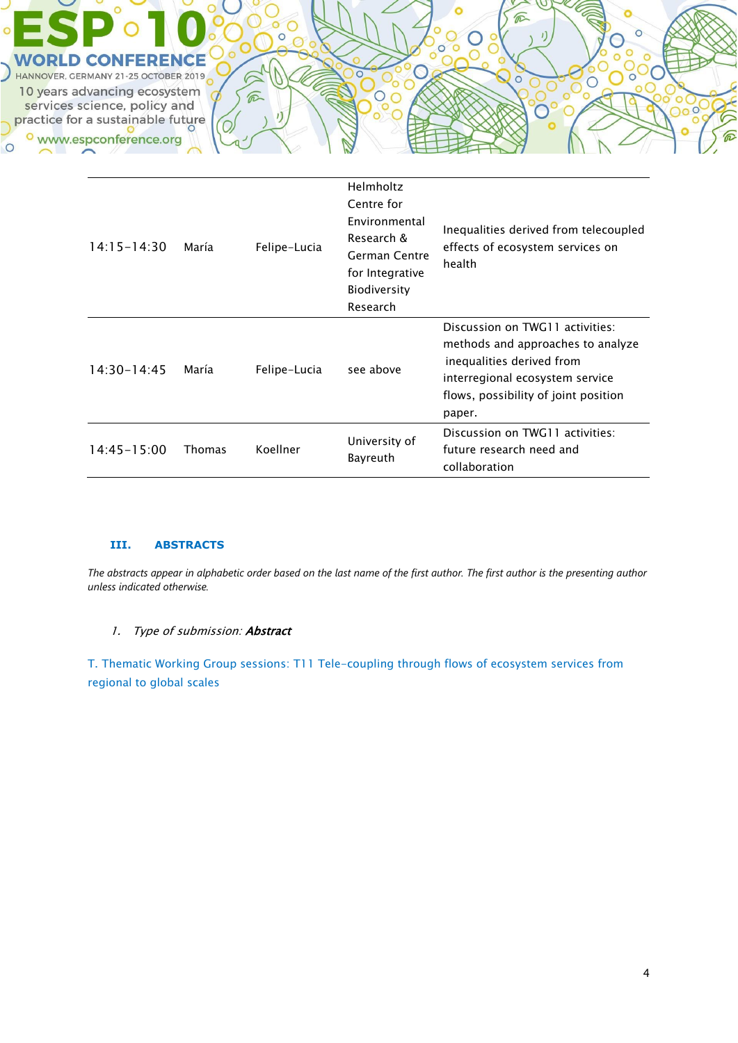

| 14:15-14:30     | María         | Felipe-Lucia | Helmholtz<br>Centre for<br>Environmental<br>Research &<br>German Centre<br>for Integrative<br><b>Biodiversity</b><br>Research | Inequalities derived from telecoupled<br>effects of ecosystem services on<br>health                                                                                                    |
|-----------------|---------------|--------------|-------------------------------------------------------------------------------------------------------------------------------|----------------------------------------------------------------------------------------------------------------------------------------------------------------------------------------|
| $14:30 - 14:45$ | María         | Felipe-Lucia | see above                                                                                                                     | Discussion on TWG11 activities:<br>methods and approaches to analyze<br>inequalities derived from<br>interregional ecosystem service<br>flows, possibility of joint position<br>paper. |
| 14:45-15:00     | <b>Thomas</b> | Koellner     | University of<br>Bayreuth                                                                                                     | Discussion on TWG11 activities:<br>future research need and<br>collaboration                                                                                                           |

#### **III. ABSTRACTS**

*The abstracts appear in alphabetic order based on the last name of the first author. The first author is the presenting author unless indicated otherwise.*

### 1. Type of submission: Abstract

T. Thematic Working Group sessions: T11 Tele-coupling through flows of ecosystem services from regional to global scales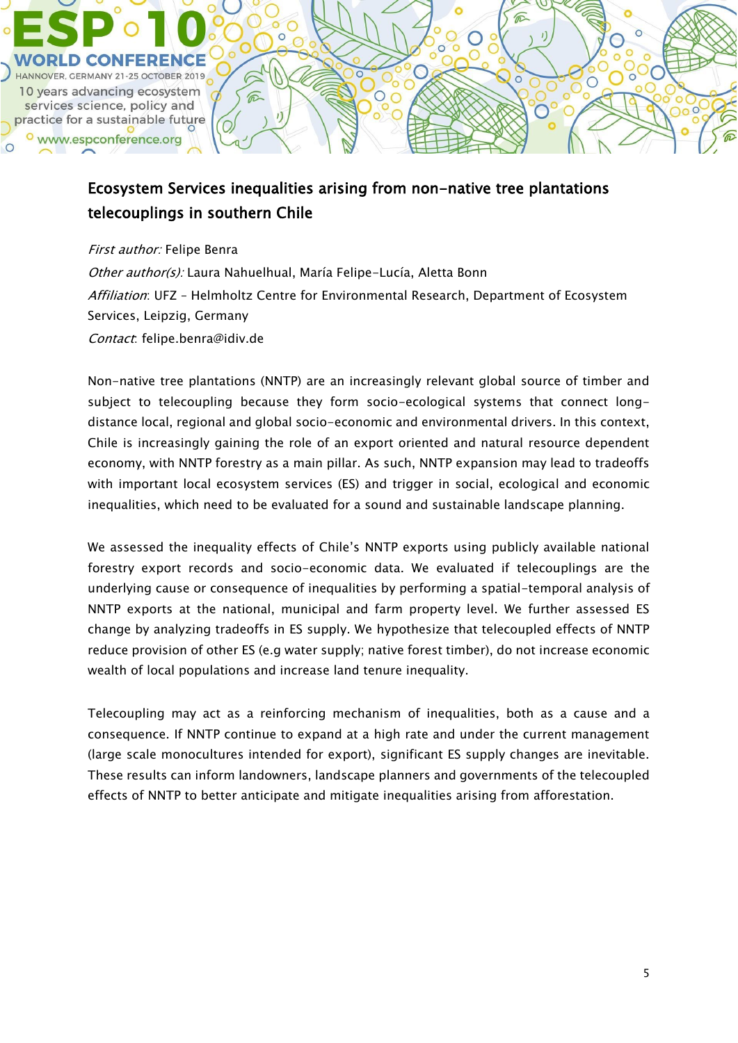

# Ecosystem Services inequalities arising from non-native tree plantations telecouplings in southern Chile

First author: Felipe Benra Other author(s): Laura Nahuelhual, María Felipe-Lucía, Aletta Bonn Affiliation: UFZ - Helmholtz Centre for Environmental Research, Department of Ecosystem Services, Leipzig, Germany Contact: felipe.benra@idiv.de

Non-native tree plantations (NNTP) are an increasingly relevant global source of timber and subject to telecoupling because they form socio-ecological systems that connect longdistance local, regional and global socio-economic and environmental drivers. In this context, Chile is increasingly gaining the role of an export oriented and natural resource dependent economy, with NNTP forestry as a main pillar. As such, NNTP expansion may lead to tradeoffs with important local ecosystem services (ES) and trigger in social, ecological and economic inequalities, which need to be evaluated for a sound and sustainable landscape planning.

We assessed the inequality effects of Chile's NNTP exports using publicly available national forestry export records and socio-economic data. We evaluated if telecouplings are the underlying cause or consequence of inequalities by performing a spatial-temporal analysis of NNTP exports at the national, municipal and farm property level. We further assessed ES change by analyzing tradeoffs in ES supply. We hypothesize that telecoupled effects of NNTP reduce provision of other ES (e.g water supply; native forest timber), do not increase economic wealth of local populations and increase land tenure inequality.

Telecoupling may act as a reinforcing mechanism of inequalities, both as a cause and a consequence. If NNTP continue to expand at a high rate and under the current management (large scale monocultures intended for export), significant ES supply changes are inevitable. These results can inform landowners, landscape planners and governments of the telecoupled effects of NNTP to better anticipate and mitigate inequalities arising from afforestation.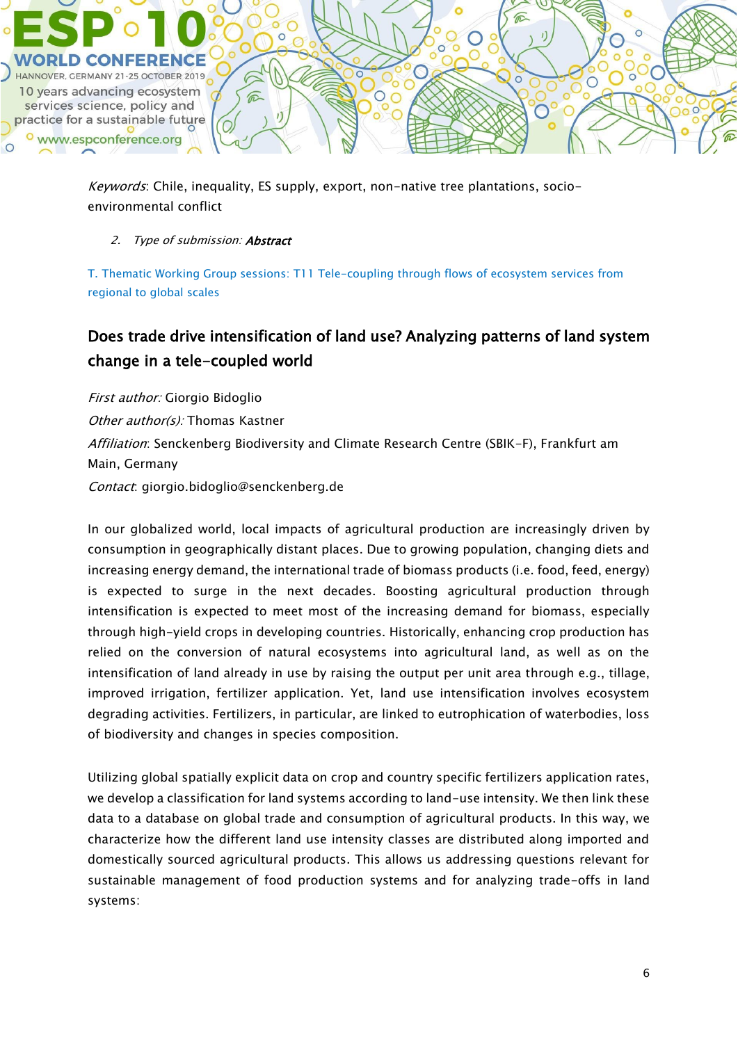

Keywords: Chile, inequality, ES supply, export, non-native tree plantations, socioenvironmental conflict

### 2. Type of submission: **Abstract**

T. Thematic Working Group sessions: T11 Tele-coupling through flows of ecosystem services from regional to global scales

# Does trade drive intensification of land use? Analyzing patterns of land system change in a tele-coupled world

First author: Giorgio Bidoglio Other author(s): Thomas Kastner Affiliation: Senckenberg Biodiversity and Climate Research Centre (SBIK-F), Frankfurt am Main, Germany Contact: giorgio.bidoglio@senckenberg.de

In our globalized world, local impacts of agricultural production are increasingly driven by consumption in geographically distant places. Due to growing population, changing diets and increasing energy demand, the international trade of biomass products (i.e. food, feed, energy) is expected to surge in the next decades. Boosting agricultural production through intensification is expected to meet most of the increasing demand for biomass, especially through high-yield crops in developing countries. Historically, enhancing crop production has relied on the conversion of natural ecosystems into agricultural land, as well as on the intensification of land already in use by raising the output per unit area through e.g., tillage, improved irrigation, fertilizer application. Yet, land use intensification involves ecosystem degrading activities. Fertilizers, in particular, are linked to eutrophication of waterbodies, loss of biodiversity and changes in species composition.

Utilizing global spatially explicit data on crop and country specific fertilizers application rates, we develop a classification for land systems according to land-use intensity. We then link these data to a database on global trade and consumption of agricultural products. In this way, we characterize how the different land use intensity classes are distributed along imported and domestically sourced agricultural products. This allows us addressing questions relevant for sustainable management of food production systems and for analyzing trade-offs in land systems: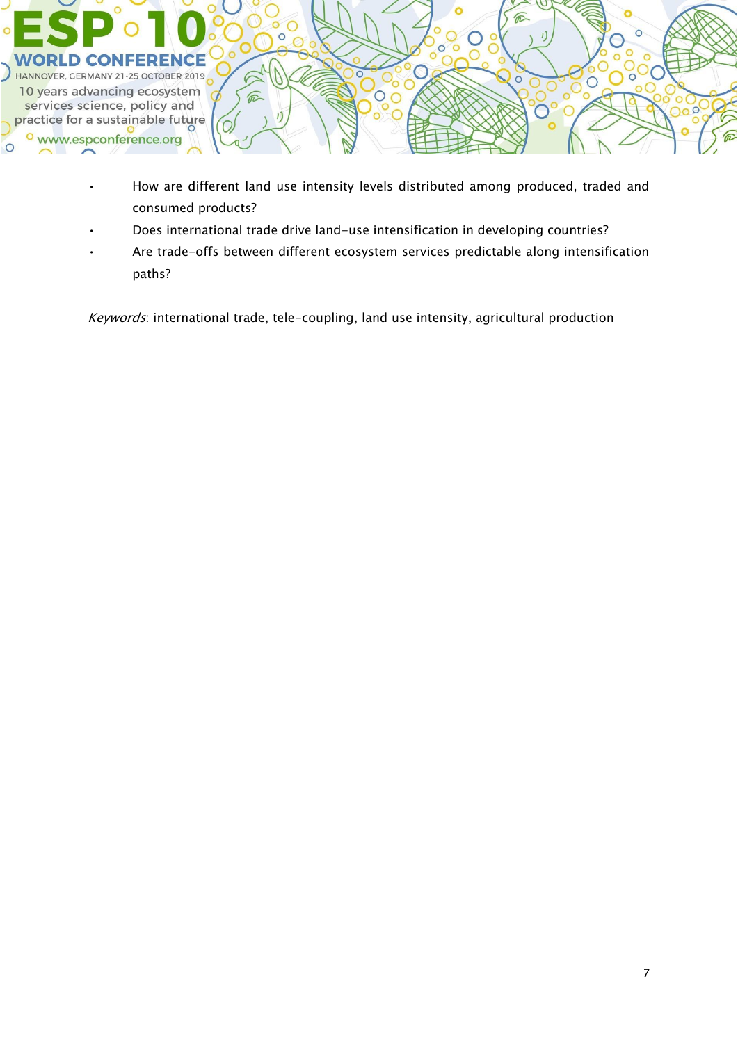

- How are different land use intensity levels distributed among produced, traded and consumed products?
- Does international trade drive land-use intensification in developing countries?
- Are trade-offs between different ecosystem services predictable along intensification paths?

Keywords: international trade, tele-coupling, land use intensity, agricultural production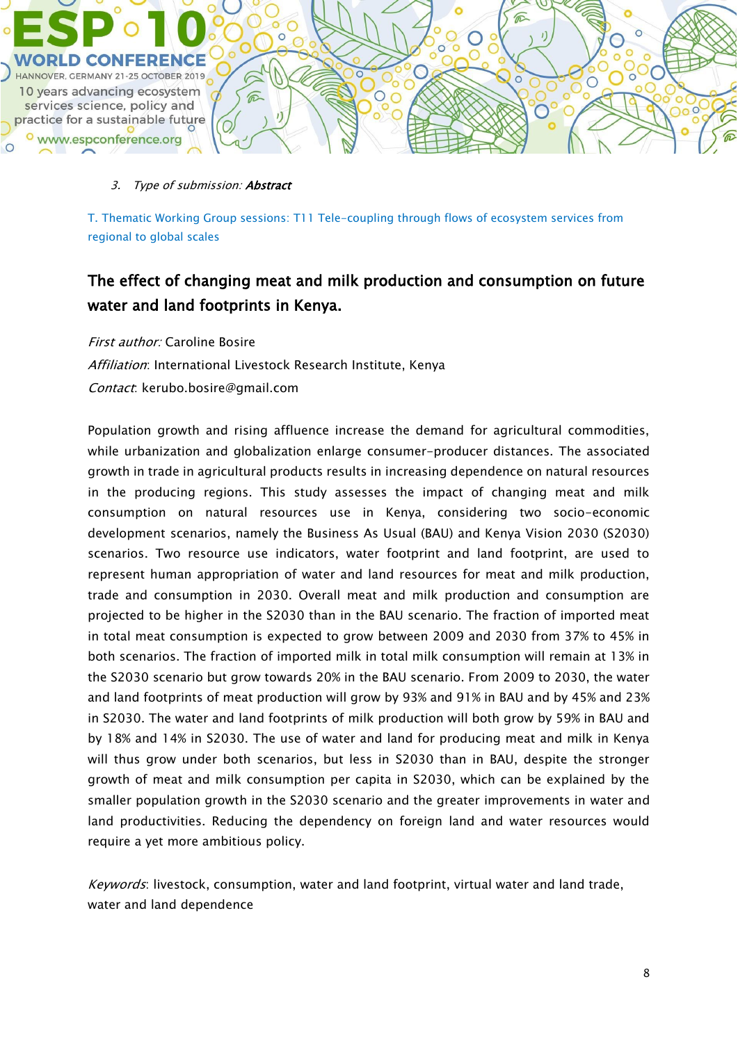

T. Thematic Working Group sessions: T11 Tele-coupling through flows of ecosystem services from regional to global scales

## The effect of changing meat and milk production and consumption on future water and land footprints in Kenya.

First author: Caroline Bosire Affiliation: International Livestock Research Institute, Kenya Contact: kerubo.bosire@gmail.com

Population growth and rising affluence increase the demand for agricultural commodities, while urbanization and globalization enlarge consumer-producer distances. The associated growth in trade in agricultural products results in increasing dependence on natural resources in the producing regions. This study assesses the impact of changing meat and milk consumption on natural resources use in Kenya, considering two socio-economic development scenarios, namely the Business As Usual (BAU) and Kenya Vision 2030 (S2030) scenarios. Two resource use indicators, water footprint and land footprint, are used to represent human appropriation of water and land resources for meat and milk production, trade and consumption in 2030. Overall meat and milk production and consumption are projected to be higher in the S2030 than in the BAU scenario. The fraction of imported meat in total meat consumption is expected to grow between 2009 and 2030 from 37% to 45% in both scenarios. The fraction of imported milk in total milk consumption will remain at 13% in the S2030 scenario but grow towards 20% in the BAU scenario. From 2009 to 2030, the water and land footprints of meat production will grow by 93% and 91% in BAU and by 45% and 23% in S2030. The water and land footprints of milk production will both grow by 59% in BAU and by 18% and 14% in S2030. The use of water and land for producing meat and milk in Kenya will thus grow under both scenarios, but less in S2030 than in BAU, despite the stronger growth of meat and milk consumption per capita in S2030, which can be explained by the smaller population growth in the S2030 scenario and the greater improvements in water and land productivities. Reducing the dependency on foreign land and water resources would require a yet more ambitious policy.

Keywords: livestock, consumption, water and land footprint, virtual water and land trade, water and land dependence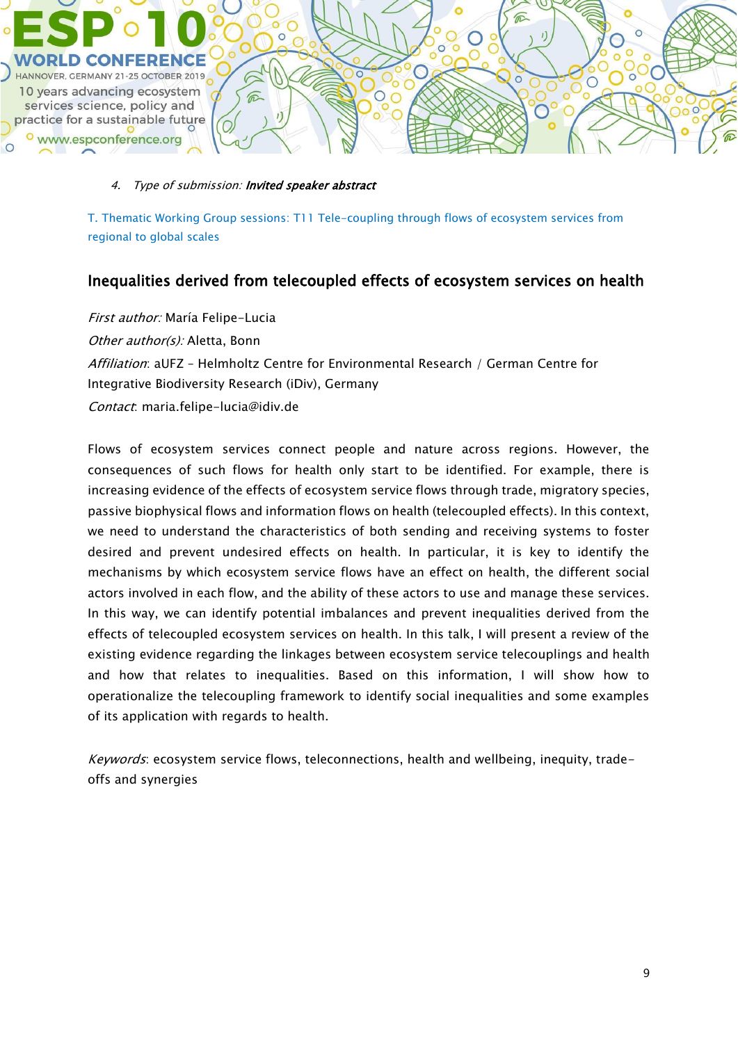

### 4. Type of submission: Invited speaker abstract

T. Thematic Working Group sessions: T11 Tele-coupling through flows of ecosystem services from regional to global scales

### Inequalities derived from telecoupled effects of ecosystem services on health

First author: María Felipe-Lucia Other author(s): Aletta, Bonn Affiliation: aUFZ - Helmholtz Centre for Environmental Research / German Centre for Integrative Biodiversity Research (iDiv), Germany Contact: maria.felipe-lucia@idiv.de

Flows of ecosystem services connect people and nature across regions. However, the consequences of such flows for health only start to be identified. For example, there is increasing evidence of the effects of ecosystem service flows through trade, migratory species, passive biophysical flows and information flows on health (telecoupled effects). In this context, we need to understand the characteristics of both sending and receiving systems to foster desired and prevent undesired effects on health. In particular, it is key to identify the mechanisms by which ecosystem service flows have an effect on health, the different social actors involved in each flow, and the ability of these actors to use and manage these services. In this way, we can identify potential imbalances and prevent inequalities derived from the effects of telecoupled ecosystem services on health. In this talk, I will present a review of the existing evidence regarding the linkages between ecosystem service telecouplings and health and how that relates to inequalities. Based on this information, I will show how to operationalize the telecoupling framework to identify social inequalities and some examples of its application with regards to health.

Keywords: ecosystem service flows, teleconnections, health and wellbeing, inequity, tradeoffs and synergies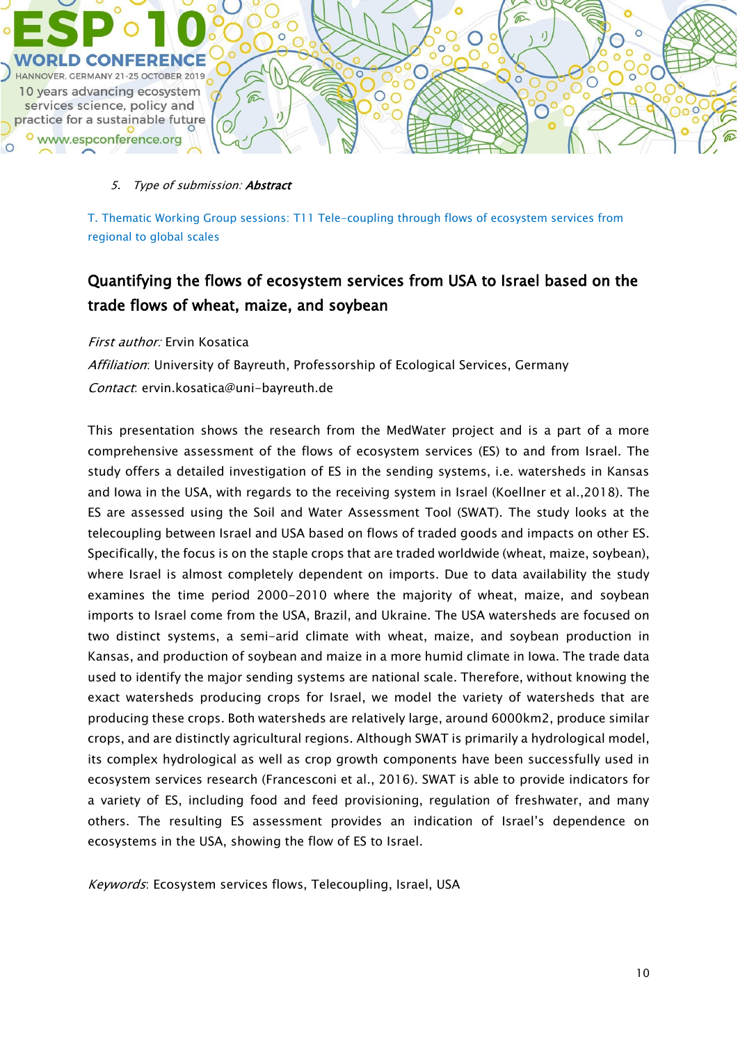

T. Thematic Working Group sessions: T11 Tele-coupling through flows of ecosystem services from regional to global scales

## Quantifying the flows of ecosystem services from USA to Israel based on the trade flows of wheat, maize, and soybean

### First author: Ervin Kosatica

Affiliation: University of Bayreuth, Professorship of Ecological Services, Germany Contact: ervin.kosatica@uni-bayreuth.de

This presentation shows the research from the MedWater project and is a part of a more comprehensive assessment of the flows of ecosystem services (ES) to and from Israel. The study offers a detailed investigation of ES in the sending systems, i.e. watersheds in Kansas and Iowa in the USA, with regards to the receiving system in Israel (Koellner et al.,2018). The ES are assessed using the Soil and Water Assessment Tool (SWAT). The study looks at the telecoupling between Israel and USA based on flows of traded goods and impacts on other ES. Specifically, the focus is on the staple crops that are traded worldwide (wheat, maize, soybean), where Israel is almost completely dependent on imports. Due to data availability the study examines the time period 2000-2010 where the majority of wheat, maize, and soybean imports to Israel come from the USA, Brazil, and Ukraine. The USA watersheds are focused on two distinct systems, a semi-arid climate with wheat, maize, and soybean production in Kansas, and production of soybean and maize in a more humid climate in Iowa. The trade data used to identify the major sending systems are national scale. Therefore, without knowing the exact watersheds producing crops for Israel, we model the variety of watersheds that are producing these crops. Both watersheds are relatively large, around 6000km2, produce similar crops, and are distinctly agricultural regions. Although SWAT is primarily a hydrological model, its complex hydrological as well as crop growth components have been successfully used in ecosystem services research (Francesconi et al., 2016). SWAT is able to provide indicators for a variety of ES, including food and feed provisioning, regulation of freshwater, and many others. The resulting ES assessment provides an indication of Israel's dependence on ecosystems in the USA, showing the flow of ES to Israel.

Keywords: Ecosystem services flows, Telecoupling, Israel, USA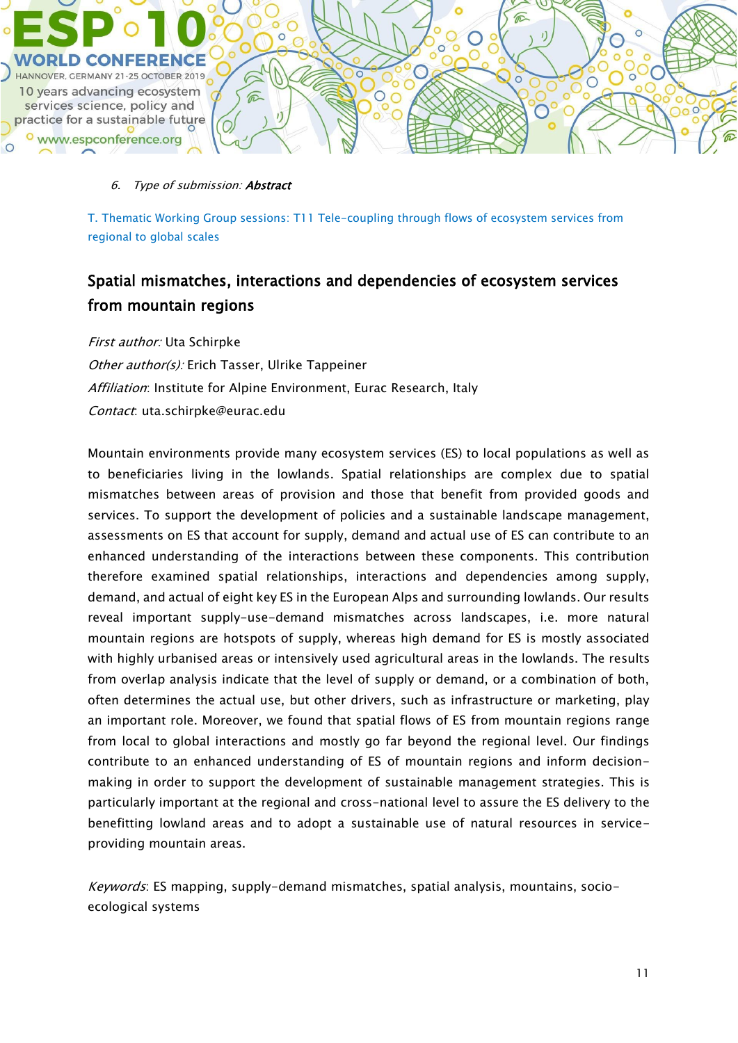

T. Thematic Working Group sessions: T11 Tele-coupling through flows of ecosystem services from regional to global scales

## Spatial mismatches, interactions and dependencies of ecosystem services from mountain regions

First author: Uta Schirpke Other author(s): Erich Tasser, Ulrike Tappeiner Affiliation: Institute for Alpine Environment, Eurac Research, Italy Contact: uta.schirpke@eurac.edu

Mountain environments provide many ecosystem services (ES) to local populations as well as to beneficiaries living in the lowlands. Spatial relationships are complex due to spatial mismatches between areas of provision and those that benefit from provided goods and services. To support the development of policies and a sustainable landscape management, assessments on ES that account for supply, demand and actual use of ES can contribute to an enhanced understanding of the interactions between these components. This contribution therefore examined spatial relationships, interactions and dependencies among supply, demand, and actual of eight key ES in the European Alps and surrounding lowlands. Our results reveal important supply-use-demand mismatches across landscapes, i.e. more natural mountain regions are hotspots of supply, whereas high demand for ES is mostly associated with highly urbanised areas or intensively used agricultural areas in the lowlands. The results from overlap analysis indicate that the level of supply or demand, or a combination of both, often determines the actual use, but other drivers, such as infrastructure or marketing, play an important role. Moreover, we found that spatial flows of ES from mountain regions range from local to global interactions and mostly go far beyond the regional level. Our findings contribute to an enhanced understanding of ES of mountain regions and inform decisionmaking in order to support the development of sustainable management strategies. This is particularly important at the regional and cross-national level to assure the ES delivery to the benefitting lowland areas and to adopt a sustainable use of natural resources in serviceproviding mountain areas.

Keywords: ES mapping, supply-demand mismatches, spatial analysis, mountains, socioecological systems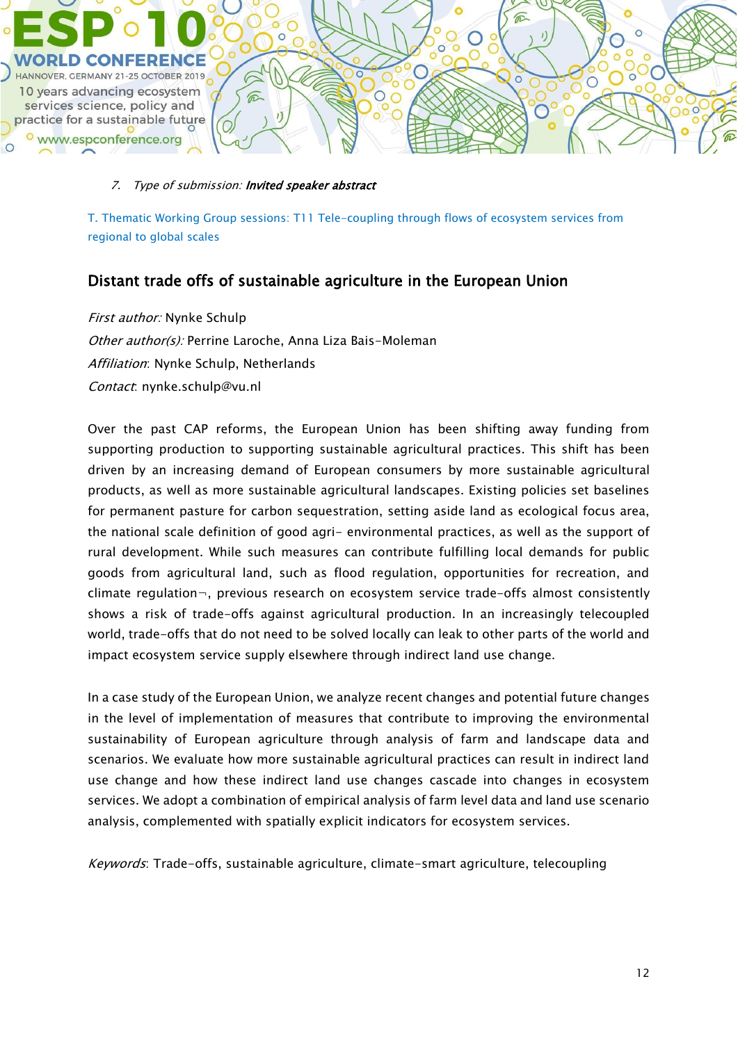

#### 7. Type of submission: Invited speaker abstract

T. Thematic Working Group sessions: T11 Tele-coupling through flows of ecosystem services from regional to global scales

### Distant trade offs of sustainable agriculture in the European Union

First author: Nynke Schulp Other author(s): Perrine Laroche, Anna Liza Bais-Moleman Affiliation: Nynke Schulp, Netherlands Contact: nynke.schulp@vu.nl

Over the past CAP reforms, the European Union has been shifting away funding from supporting production to supporting sustainable agricultural practices. This shift has been driven by an increasing demand of European consumers by more sustainable agricultural products, as well as more sustainable agricultural landscapes. Existing policies set baselines for permanent pasture for carbon sequestration, setting aside land as ecological focus area, the national scale definition of good agri- environmental practices, as well as the support of rural development. While such measures can contribute fulfilling local demands for public goods from agricultural land, such as flood regulation, opportunities for recreation, and climate regulation¬, previous research on ecosystem service trade-offs almost consistently shows a risk of trade-offs against agricultural production. In an increasingly telecoupled world, trade-offs that do not need to be solved locally can leak to other parts of the world and impact ecosystem service supply elsewhere through indirect land use change.

In a case study of the European Union, we analyze recent changes and potential future changes in the level of implementation of measures that contribute to improving the environmental sustainability of European agriculture through analysis of farm and landscape data and scenarios. We evaluate how more sustainable agricultural practices can result in indirect land use change and how these indirect land use changes cascade into changes in ecosystem services. We adopt a combination of empirical analysis of farm level data and land use scenario analysis, complemented with spatially explicit indicators for ecosystem services.

Keywords: Trade-offs, sustainable agriculture, climate-smart agriculture, telecoupling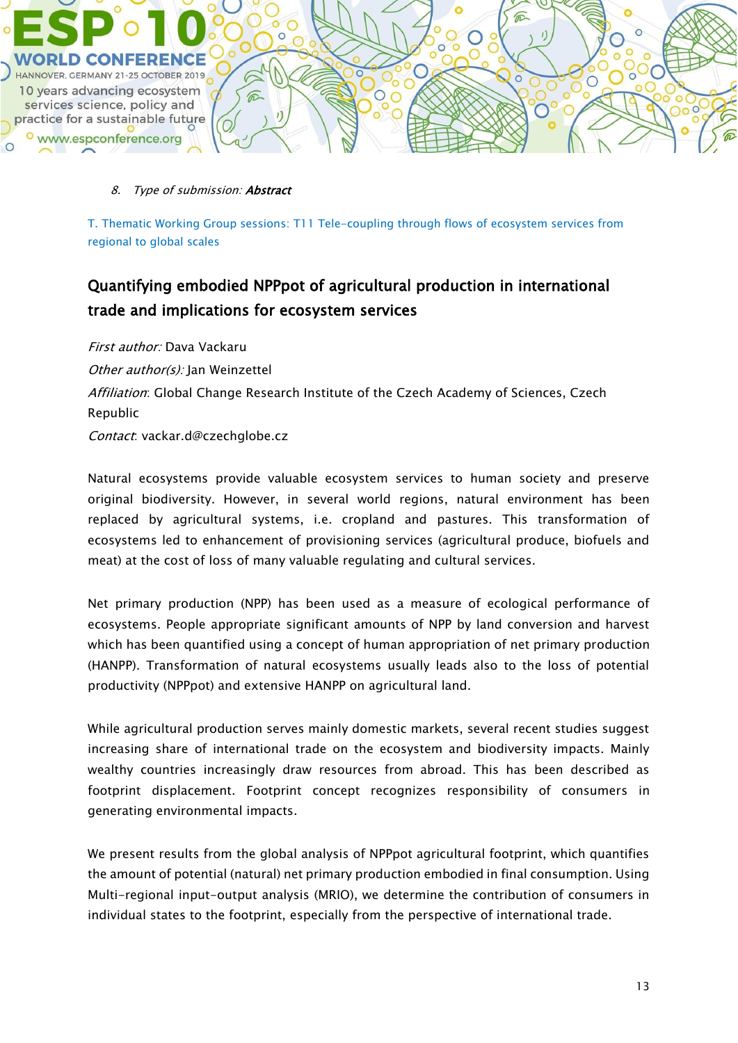

T. Thematic Working Group sessions: T11 Tele-coupling through flows of ecosystem services from regional to global scales

# Quantifying embodied NPPpot of agricultural production in international trade and implications for ecosystem services

First author: Dava Vackaru Other author(s): Jan Weinzettel Affiliation: Global Change Research Institute of the Czech Academy of Sciences, Czech Republic Contact: vackar.d@czechglobe.cz

Natural ecosystems provide valuable ecosystem services to human society and preserve original biodiversity. However, in several world regions, natural environment has been replaced by agricultural systems, i.e. cropland and pastures. This transformation of ecosystems led to enhancement of provisioning services (agricultural produce, biofuels and meat) at the cost of loss of many valuable regulating and cultural services.

Net primary production (NPP) has been used as a measure of ecological performance of ecosystems. People appropriate significant amounts of NPP by land conversion and harvest which has been quantified using a concept of human appropriation of net primary production (HANPP). Transformation of natural ecosystems usually leads also to the loss of potential productivity (NPPpot) and extensive HANPP on agricultural land.

While agricultural production serves mainly domestic markets, several recent studies suggest increasing share of international trade on the ecosystem and biodiversity impacts. Mainly wealthy countries increasingly draw resources from abroad. This has been described as footprint displacement. Footprint concept recognizes responsibility of consumers in generating environmental impacts.

We present results from the global analysis of NPPpot agricultural footprint, which quantifies the amount of potential (natural) net primary production embodied in final consumption. Using Multi-regional input-output analysis (MRIO), we determine the contribution of consumers in individual states to the footprint, especially from the perspective of international trade.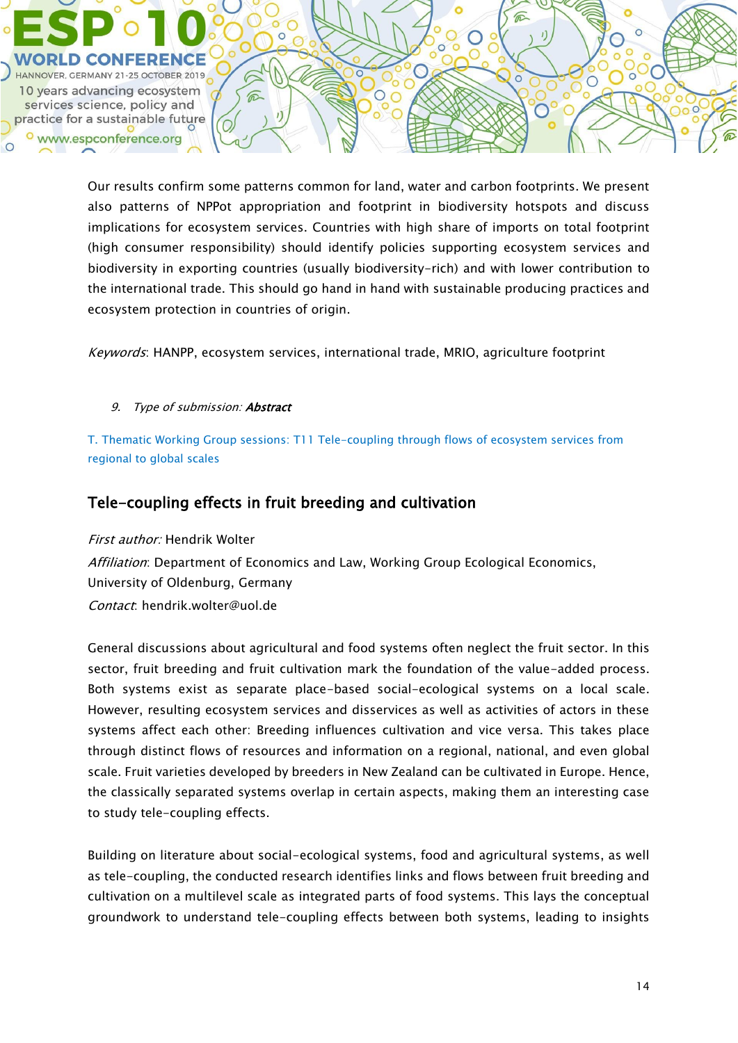

Our results confirm some patterns common for land, water and carbon footprints. We present also patterns of NPPot appropriation and footprint in biodiversity hotspots and discuss implications for ecosystem services. Countries with high share of imports on total footprint (high consumer responsibility) should identify policies supporting ecosystem services and biodiversity in exporting countries (usually biodiversity-rich) and with lower contribution to the international trade. This should go hand in hand with sustainable producing practices and ecosystem protection in countries of origin.

Keywords: HANPP, ecosystem services, international trade, MRIO, agriculture footprint

### 9. Type of submission: Abstract

T. Thematic Working Group sessions: T11 Tele-coupling through flows of ecosystem services from regional to global scales

### Tele-coupling effects in fruit breeding and cultivation

First author: Hendrik Wolter Affiliation: Department of Economics and Law, Working Group Ecological Economics, University of Oldenburg, Germany Contact: hendrik.wolter@uol.de

General discussions about agricultural and food systems often neglect the fruit sector. In this sector, fruit breeding and fruit cultivation mark the foundation of the value-added process. Both systems exist as separate place-based social-ecological systems on a local scale. However, resulting ecosystem services and disservices as well as activities of actors in these systems affect each other: Breeding influences cultivation and vice versa. This takes place through distinct flows of resources and information on a regional, national, and even global scale. Fruit varieties developed by breeders in New Zealand can be cultivated in Europe. Hence, the classically separated systems overlap in certain aspects, making them an interesting case to study tele-coupling effects.

Building on literature about social-ecological systems, food and agricultural systems, as well as tele-coupling, the conducted research identifies links and flows between fruit breeding and cultivation on a multilevel scale as integrated parts of food systems. This lays the conceptual groundwork to understand tele-coupling effects between both systems, leading to insights